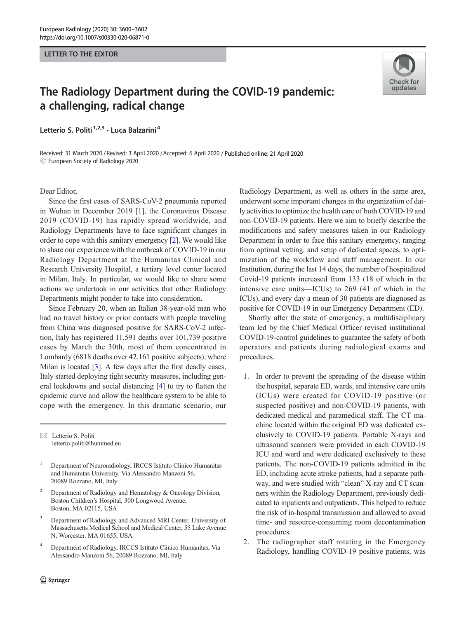## LETTER TO THE EDITOR

## The Radiology Department during the COVID-19 pandemic: a challenging, radical change

Letterio S. Politi<sup>1,2,3</sup> · Luca Balzarini<sup>4</sup>

Received: 31 March 2020 / Revised: 3 April 2020 /Accepted: 6 April 2020 / Published online: 21 April 2020  $\odot$  European Society of Radiology 2020

Dear Editor,

Since the first cases of SARS-CoV-2 pneumonia reported in Wuhan in December 2019 [\[1](#page-2-0)], the Coronavirus Disease 2019 (COVID-19) has rapidly spread worldwide, and Radiology Departments have to face significant changes in order to cope with this sanitary emergency [\[2](#page-2-0)]. We would like to share our experience with the outbreak of COVID-19 in our Radiology Department at the Humanitas Clinical and Research University Hospital, a tertiary level center located in Milan, Italy. In particular, we would like to share some actions we undertook in our activities that other Radiology Departments might ponder to take into consideration.

Since February 20, when an Italian 38-year-old man who had no travel history or prior contacts with people traveling from China was diagnosed positive for SARS-CoV-2 infection, Italy has registered 11,591 deaths over 101,739 positive cases by March the 30th, most of them concentrated in Lombardy (6818 deaths over 42,161 positive subjects), where Milan is located [\[3\]](#page-2-0). A few days after the first deadly cases, Italy started deploying tight security measures, including general lockdowns and social distancing [\[4\]](#page-2-0) to try to flatten the epidemic curve and allow the healthcare system to be able to cope with the emergency. In this dramatic scenario, our

 $\boxtimes$  Letterio S. Politi [letterio.politi@hunimed.eu](mailto:letterio.politi@hunimed.eu)

- <sup>1</sup> Department of Neuroradiology, IRCCS Istituto Clinico Humanitas and Humanitas University, Via Alessandro Manzoni 56, 20089 Rozzano, MI, Italy
- <sup>2</sup> Department of Radiology and Hematology & Oncology Division, Boston Children's Hospital, 300 Longwood Avenue, Boston, MA 02115, USA
- <sup>3</sup> Department of Radiology and Advanced MRI Center, University of Massachusetts Medical School and Medical Center, 55 Lake Avenue N, Worcester, MA 01655, USA
- <sup>4</sup> Department of Radiology, IRCCS Istituto Clinico Humanitas, Via Alessandro Manzoni 56, 20089 Rozzano, MI, Italy



Shortly after the state of emergency, a multidisciplinary team led by the Chief Medical Officer revised institutional COVID-19-control guidelines to guarantee the safety of both operators and patients during radiological exams and procedures.

- 1. In order to prevent the spreading of the disease within the hospital, separate ED, wards, and intensive care units (ICUs) were created for COVID-19 positive (or suspected positive) and non-COVID-19 patients, with dedicated medical and paramedical staff. The CT machine located within the original ED was dedicated exclusively to COVID-19 patients. Portable X-rays and ultrasound scanners were provided in each COVID-19 ICU and ward and were dedicated exclusively to these patients. The non-COVID-19 patients admitted in the ED, including acute stroke patients, had a separate pathway, and were studied with "clean" X-ray and CT scanners within the Radiology Department, previously dedicated to inpatients and outpatients. This helped to reduce the risk of in-hospital transmission and allowed to avoid time- and resource-consuming room decontamination procedures.
- 2. The radiographer staff rotating in the Emergency Radiology, handling COVID-19 positive patients, was

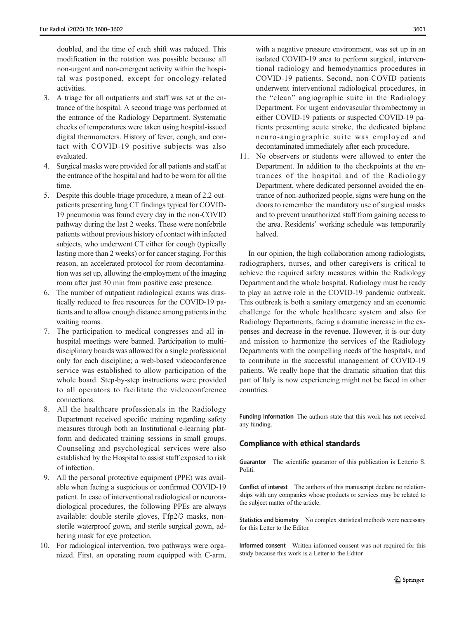doubled, and the time of each shift was reduced. This modification in the rotation was possible because all non-urgent and non-emergent activity within the hospital was postponed, except for oncology-related activities.

- 3. A triage for all outpatients and staff was set at the entrance of the hospital. A second triage was performed at the entrance of the Radiology Department. Systematic checks of temperatures were taken using hospital-issued digital thermometers. History of fever, cough, and contact with COVID-19 positive subjects was also evaluated.
- 4. Surgical masks were provided for all patients and staff at the entrance of the hospital and had to be worn for all the time.
- 5. Despite this double-triage procedure, a mean of 2.2 outpatients presenting lung CT findings typical for COVID-19 pneumonia was found every day in the non-COVID pathway during the last 2 weeks. These were nonfebrile patients without previous history of contact with infected subjects, who underwent CT either for cough (typically lasting more than 2 weeks) or for cancer staging. For this reason, an accelerated protocol for room decontamination was set up, allowing the employment of the imaging room after just 30 min from positive case presence.
- 6. The number of outpatient radiological exams was drastically reduced to free resources for the COVID-19 patients and to allow enough distance among patients in the waiting rooms.
- 7. The participation to medical congresses and all inhospital meetings were banned. Participation to multidisciplinary boards was allowed for a single professional only for each discipline; a web-based videoconference service was established to allow participation of the whole board. Step-by-step instructions were provided to all operators to facilitate the videoconference connections.
- 8. All the healthcare professionals in the Radiology Department received specific training regarding safety measures through both an Institutional e-learning platform and dedicated training sessions in small groups. Counseling and psychological services were also established by the Hospital to assist staff exposed to risk of infection.
- 9. All the personal protective equipment (PPE) was available when facing a suspicious or confirmed COVID-19 patient. In case of interventional radiological or neuroradiological procedures, the following PPEs are always available: double sterile gloves, Ffp2/3 masks, nonsterile waterproof gown, and sterile surgical gown, adhering mask for eye protection.
- 10. For radiological intervention, two pathways were organized. First, an operating room equipped with C-arm,

with a negative pressure environment, was set up in an isolated COVID-19 area to perform surgical, interventional radiology and hemodynamics procedures in COVID-19 patients. Second, non-COVID patients underwent interventional radiological procedures, in the "clean" angiographic suite in the Radiology Department. For urgent endovascular thrombectomy in either COVID-19 patients or suspected COVID-19 patients presenting acute stroke, the dedicated biplane neuro-angiographic suite was employed and decontaminated immediately after each procedure.

11. No observers or students were allowed to enter the Department. In addition to the checkpoints at the entrances of the hospital and of the Radiology Department, where dedicated personnel avoided the entrance of non-authorized people, signs were hung on the doors to remember the mandatory use of surgical masks and to prevent unauthorized staff from gaining access to the area. Residents' working schedule was temporarily halved.

In our opinion, the high collaboration among radiologists, radiographers, nurses, and other caregivers is critical to achieve the required safety measures within the Radiology Department and the whole hospital. Radiology must be ready to play an active role in the COVID-19 pandemic outbreak. This outbreak is both a sanitary emergency and an economic challenge for the whole healthcare system and also for Radiology Departments, facing a dramatic increase in the expenses and decrease in the revenue. However, it is our duty and mission to harmonize the services of the Radiology Departments with the compelling needs of the hospitals, and to contribute in the successful management of COVID-19 patients. We really hope that the dramatic situation that this part of Italy is now experiencing might not be faced in other countries.

Funding information The authors state that this work has not received any funding.

## Compliance with ethical standards

Guarantor The scientific guarantor of this publication is Letterio S. Politi.

Conflict of interest The authors of this manuscript declare no relationships with any companies whose products or services may be related to the subject matter of the article.

Statistics and biometry No complex statistical methods were necessary for this Letter to the Editor.

Informed consent Written informed consent was not required for this study because this work is a Letter to the Editor.